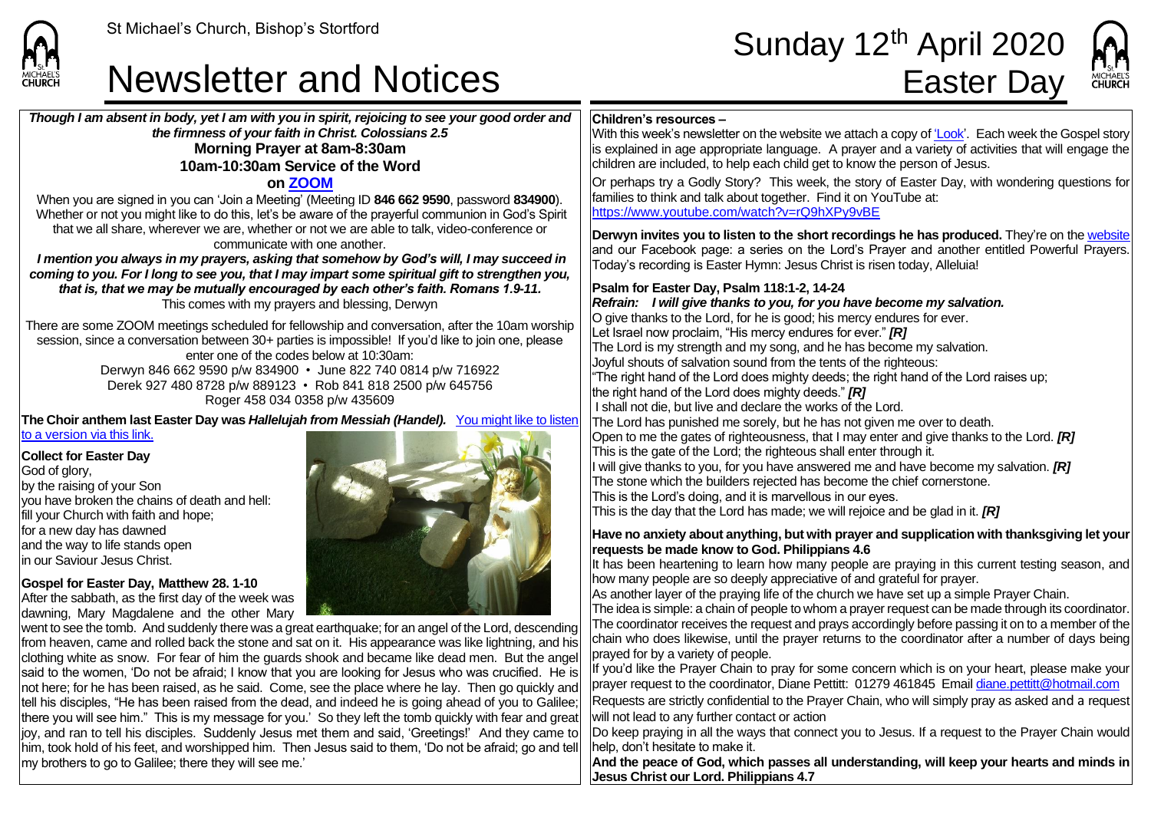

my brothers to go to Galilee; there they will see me.'

### **Newsletter and Notices**

# St Michael's Church, Bishop's Stortford<br> **Sunday 12<sup>th</sup> April 2020**<br> **Newsletter and Notices** Easter Dav



*Though I am absent in body, yet I am with you in spirit, rejoicing to see your good order and the firmness of your faith in Christ. Colossians 2.5* **Morning Prayer at 8am-8:30am 10am-10:30am Service of the Word on [ZOOM](https://zoom.us/signup)** When you are signed in you can 'Join a Meeting' (Meeting ID **846 662 9590**, password **834900**). Whether or not you might like to do this, let's be aware of the prayerful communion in God's Spirit that we all share, wherever we are, whether or not we are able to talk, video-conference or communicate with one another. *I mention you always in my prayers, asking that somehow by God's will, I may succeed in coming to you. For I long to see you, that I may impart some spiritual gift to strengthen you, that is, that we may be mutually encouraged by each other's faith. Romans 1.9-11.* This comes with my prayers and blessing, Derwyn There are some ZOOM meetings scheduled for fellowship and conversation, after the 10am worship session, since a conversation between 30+ parties is impossible! If you'd like to join one, please enter one of the codes below at 10:30am: Derwyn 846 662 9590 p/w 834900 • June 822 740 0814 p/w 716922 Derek 927 480 8728 p/w 889123 • Rob 841 818 2500 p/w 645756 Roger 458 034 0358 p/w 435609 **The Choir anthem last Easter Day was** *Hallelujah from Messiah (Handel).* [You might like to listen](https://www.youtube.com/watch?v=C3TUWU_yg4s)  to a version [via this link.](https://www.youtube.com/watch?v=C3TUWU_yg4s)  **Collect for Easter Day** God of glory, by the raising of your Son you have broken the chains of death and hell: fill your Church with faith and hope; for a new day has dawned and the way to life stands open in our Saviour Jesus Christ. **Gospel for Easter Day, Matthew 28. 1-10** After the sabbath, as the first day of the week was dawning, Mary Magdalene and the other Mary went to see the tomb. And suddenly there was a great earthquake; for an angel of the Lord, descending from heaven, came and rolled back the stone and sat on it. His appearance was like lightning, and his clothing white as snow. For fear of him the guards shook and became like dead men. But the angel said to the women, 'Do not be afraid; I know that you are looking for Jesus who was crucified. He is not here; for he has been raised, as he said. Come, see the place where he lay. Then go quickly and tell his disciples, "He has been raised from the dead, and indeed he is going ahead of you to Galilee; there you will see him." This is my message for you.' So they left the tomb quickly with fear and great **Children's resources –** With this week's newsletter on the website we attach a copy o[f 'Look'.](https://saintmichaelweb.org.uk/Articles/542815/_Newsletter.aspx) Each week the Gospel story is explained in age appropriate language. A prayer and a variety of activities that will engage the children are included, to help each child get to know the person of Jesus. Or perhaps try a Godly Story? This week, the story of Easter Day, with wondering questions for families to think and talk about together. Find it on YouTube at: <https://www.youtube.com/watch?v=rQ9hXPy9vBE> **Derwyn invites you to listen t[o the short recordings](https://saintmichaelweb.org.uk/media/allmedia.aspx) he has produced.** They're on th[e website](https://saintmichaelweb.org.uk/media/allmedia.aspx) and our Facebook page: a series on the Lord's Prayer and another entitled Powerful Prayers. Today's recording is Easter Hymn: Jesus Christ is risen today, Alleluia! **Psalm for Easter Day, Psalm 118:1-2, 14-24** *Refrain:**I will give thanks to you, for you have become my salvation.* O give thanks to the Lord, for he is good; his mercy endures for ever. Let Israel now proclaim, "His mercy endures for ever." *[R]* The Lord is my strength and my song, and he has become my salvation. Joyful shouts of salvation sound from the tents of the righteous: "The right hand of the Lord does mighty deeds; the right hand of the Lord raises up; the right hand of the Lord does mighty deeds." *[R]* I shall not die, but live and declare the works of the Lord. The Lord has punished me sorely, but he has not given me over to death. Open to me the gates of righteousness, that I may enter and give thanks to the Lord. *[R]* This is the gate of the Lord; the righteous shall enter through it. will give thanks to you, for you have answered me and have become my salvation. **[R]** The stone which the builders rejected has become the chief cornerstone. This is the Lord's doing, and it is marvellous in our eyes. This is the day that the Lord has made; we will rejoice and be glad in it. *[R]* **Have no anxiety about anything, but with prayer and supplication with thanksgiving let your requests be made know to God. Philippians 4.6** It has been heartening to learn how many people are praying in this current testing season, and how many people are so deeply appreciative of and grateful for prayer. As another layer of the praying life of the church we have set up a simple Prayer Chain. The idea is simple: a chain of people to whom a prayer request can be made through its coordinator. The coordinator receives the request and prays accordingly before passing it on to a member of the chain who does likewise, until the prayer returns to the coordinator after a number of days being prayed for by a variety of people. If you'd like the Prayer Chain to pray for some concern which is on your heart, please make your prayer request to the coordinator, Diane Pettitt: 01279 461845 Email [diane.pettitt@hotmail.com](mailto:diane.pettitt@hotmail.com) Requests are strictly confidential to the Prayer Chain, who will simply pray as asked and a request will not lead to any further contact or action

joy, and ran to tell his disciples. Suddenly Jesus met them and said, 'Greetings!' And they came to him, took hold of his feet, and worshipped him. Then Jesus said to them, 'Do not be afraid; go and tell Do keep praying in all the ways that connect you to Jesus. If a request to the Prayer Chain would help, don't hesitate to make it.

> **And the peace of God, which passes all understanding, will keep your hearts and minds in Jesus Christ our Lord. Philippians 4.7**